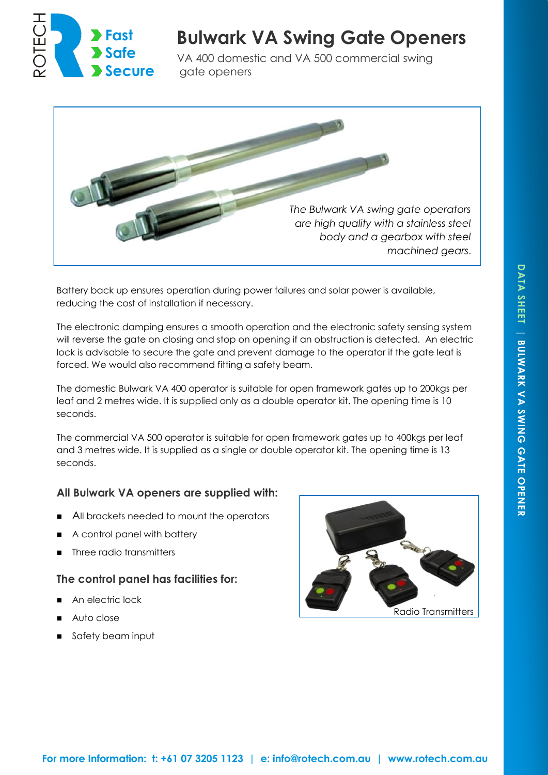

# **Bulwark VA Swing Gate Openers**

VA 400 domestic and VA 500 commercial swing gate openers



Battery back up ensures operation during power failures and solar power is available, reducing the cost of installation if necessary.

The electronic damping ensures a smooth operation and the electronic safety sensing system will reverse the gate on closing and stop on opening if an obstruction is detected. An electric lock is advisable to secure the gate and prevent damage to the operator if the gate leaf is forced. We would also recommend fitting a safety beam.

The domestic Bulwark VA 400 operator is suitable for open framework gates up to 200kgs per leaf and 2 metres wide. It is supplied only as a double operator kit. The opening time is 10 seconds.

The commercial VA 500 operator is suitable for open framework gates up to 400kgs per leaf and 3 metres wide. It is supplied as a single or double operator kit. The opening time is 13 seconds.

## **All Bulwark VA openers are supplied with:**

- All brackets needed to mount the operators
- A control panel with battery
- Three radio transmitters

#### **The control panel has facilities for:**

- An electric lock
- Auto close
- Safety beam input